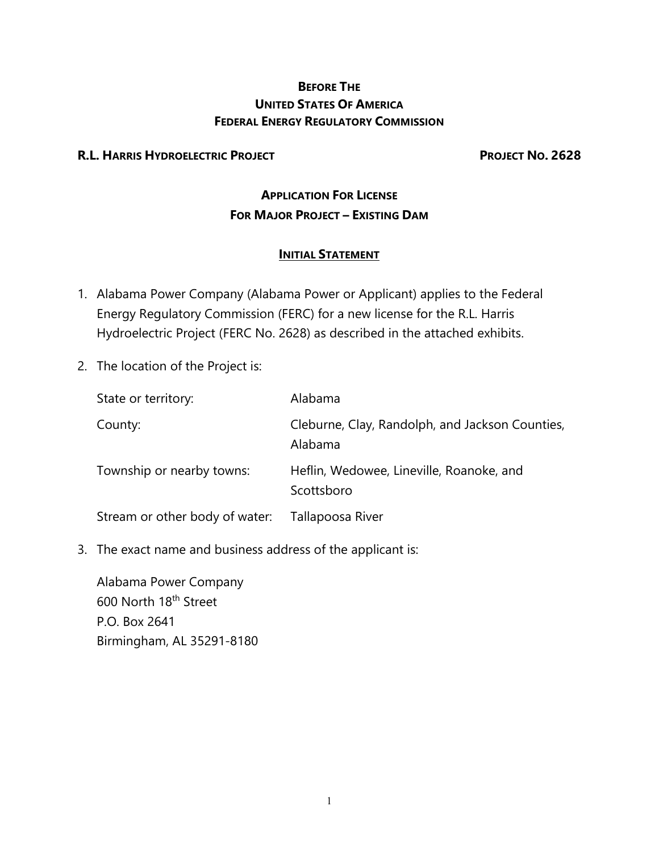## **BEFORE THE UNITED STATES OF AMERICA FEDERAL ENERGY REGULATORY COMMISSION**

### **R.L. HARRIS HYDROELECTRIC PROJECT PROJECT NO. 2628**

# **APPLICATION FOR LICENSE FOR MAJOR PROJECT – EXISTING DAM**

### **INITIAL STATEMENT**

- 1. Alabama Power Company (Alabama Power or Applicant) applies to the Federal Energy Regulatory Commission (FERC) for a new license for the R.L. Harris Hydroelectric Project (FERC No. 2628) as described in the attached exhibits.
- 2. The location of the Project is:

| State or territory:            | Alabama                                                    |
|--------------------------------|------------------------------------------------------------|
| County:                        | Cleburne, Clay, Randolph, and Jackson Counties,<br>Alabama |
| Township or nearby towns:      | Heflin, Wedowee, Lineville, Roanoke, and<br>Scottsboro     |
| Stream or other body of water: | Tallapoosa River                                           |

3. The exact name and business address of the applicant is:

Alabama Power Company 600 North 18th Street P.O. Box 2641 Birmingham, AL 35291-8180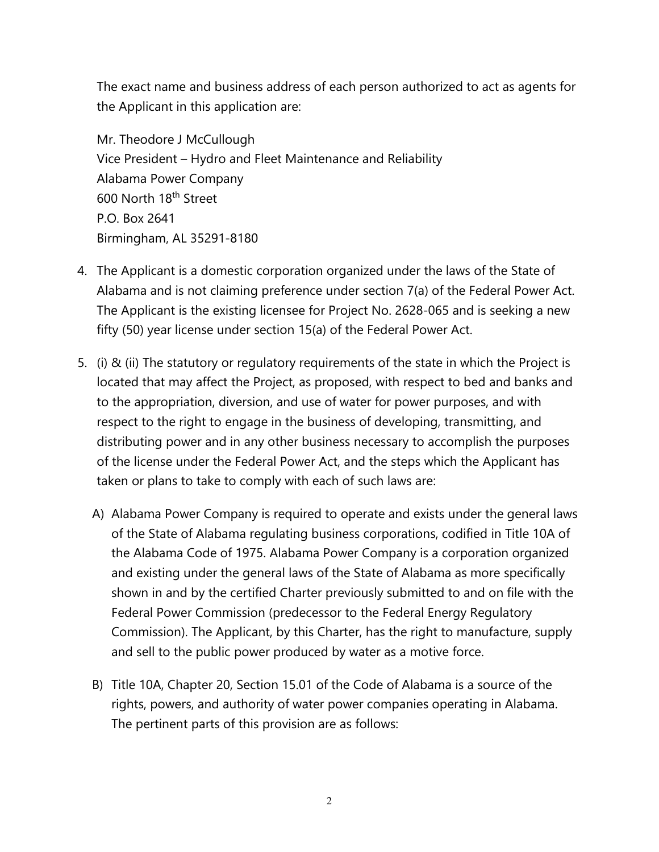The exact name and business address of each person authorized to act as agents for the Applicant in this application are:

Mr. Theodore J McCullough Vice President – Hydro and Fleet Maintenance and Reliability Alabama Power Company 600 North 18th Street P.O. Box 2641 Birmingham, AL 35291-8180

- 4. The Applicant is a domestic corporation organized under the laws of the State of Alabama and is not claiming preference under section 7(a) of the Federal Power Act. The Applicant is the existing licensee for Project No. 2628-065 and is seeking a new fifty (50) year license under section 15(a) of the Federal Power Act.
- 5. (i) & (ii) The statutory or regulatory requirements of the state in which the Project is located that may affect the Project, as proposed, with respect to bed and banks and to the appropriation, diversion, and use of water for power purposes, and with respect to the right to engage in the business of developing, transmitting, and distributing power and in any other business necessary to accomplish the purposes of the license under the Federal Power Act, and the steps which the Applicant has taken or plans to take to comply with each of such laws are:
	- A) Alabama Power Company is required to operate and exists under the general laws of the State of Alabama regulating business corporations, codified in Title 10A of the Alabama Code of 1975. Alabama Power Company is a corporation organized and existing under the general laws of the State of Alabama as more specifically shown in and by the certified Charter previously submitted to and on file with the Federal Power Commission (predecessor to the Federal Energy Regulatory Commission). The Applicant, by this Charter, has the right to manufacture, supply and sell to the public power produced by water as a motive force.
	- B) Title 10A, Chapter 20, Section 15.01 of the Code of Alabama is a source of the rights, powers, and authority of water power companies operating in Alabama. The pertinent parts of this provision are as follows: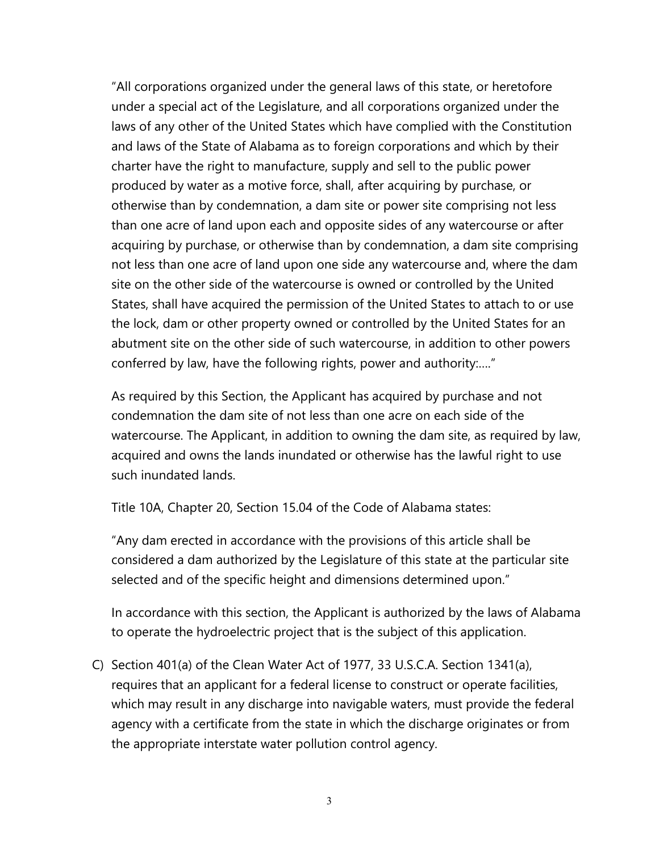"All corporations organized under the general laws of this state, or heretofore under a special act of the Legislature, and all corporations organized under the laws of any other of the United States which have complied with the Constitution and laws of the State of Alabama as to foreign corporations and which by their charter have the right to manufacture, supply and sell to the public power produced by water as a motive force, shall, after acquiring by purchase, or otherwise than by condemnation, a dam site or power site comprising not less than one acre of land upon each and opposite sides of any watercourse or after acquiring by purchase, or otherwise than by condemnation, a dam site comprising not less than one acre of land upon one side any watercourse and, where the dam site on the other side of the watercourse is owned or controlled by the United States, shall have acquired the permission of the United States to attach to or use the lock, dam or other property owned or controlled by the United States for an abutment site on the other side of such watercourse, in addition to other powers conferred by law, have the following rights, power and authority:…."

As required by this Section, the Applicant has acquired by purchase and not condemnation the dam site of not less than one acre on each side of the watercourse. The Applicant, in addition to owning the dam site, as required by law, acquired and owns the lands inundated or otherwise has the lawful right to use such inundated lands.

Title 10A, Chapter 20, Section 15.04 of the Code of Alabama states:

"Any dam erected in accordance with the provisions of this article shall be considered a dam authorized by the Legislature of this state at the particular site selected and of the specific height and dimensions determined upon."

In accordance with this section, the Applicant is authorized by the laws of Alabama to operate the hydroelectric project that is the subject of this application.

C) Section 401(a) of the Clean Water Act of 1977, 33 U.S.C.A. Section 1341(a), requires that an applicant for a federal license to construct or operate facilities, which may result in any discharge into navigable waters, must provide the federal agency with a certificate from the state in which the discharge originates or from the appropriate interstate water pollution control agency.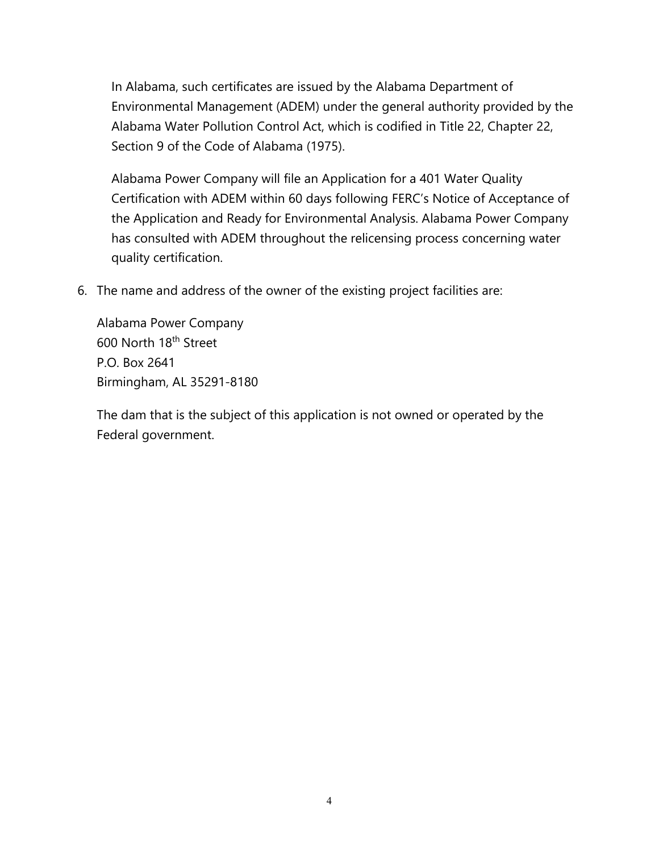In Alabama, such certificates are issued by the Alabama Department of Environmental Management (ADEM) under the general authority provided by the Alabama Water Pollution Control Act, which is codified in Title 22, Chapter 22, Section 9 of the Code of Alabama (1975).

Alabama Power Company will file an Application for a 401 Water Quality Certification with ADEM within 60 days following FERC's Notice of Acceptance of the Application and Ready for Environmental Analysis. Alabama Power Company has consulted with ADEM throughout the relicensing process concerning water quality certification.

6. The name and address of the owner of the existing project facilities are:

Alabama Power Company 600 North 18<sup>th</sup> Street P.O. Box 2641 Birmingham, AL 35291-8180

The dam that is the subject of this application is not owned or operated by the Federal government.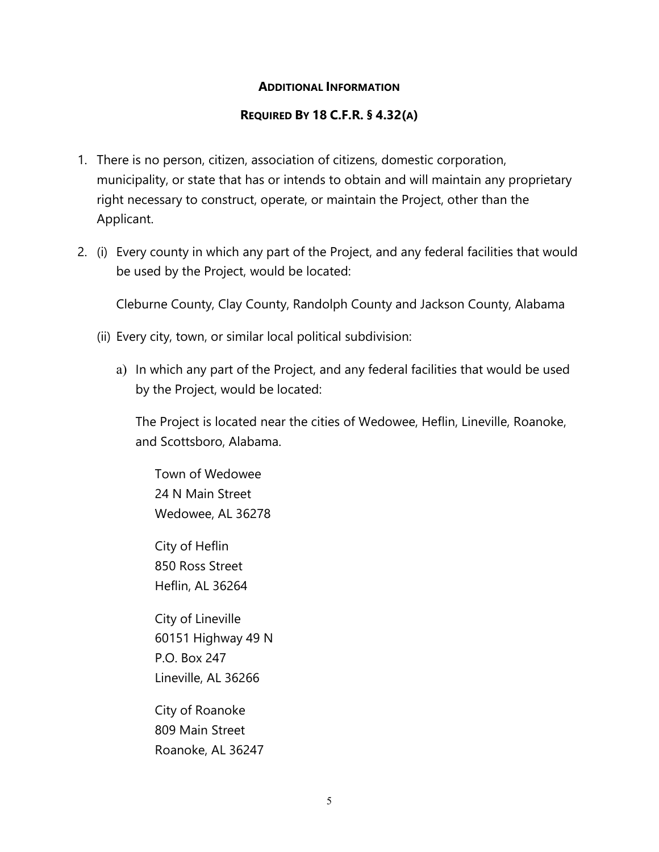#### **ADDITIONAL INFORMATION**

#### **REQUIRED BY 18 C.F.R. § 4.32(A)**

- 1. There is no person, citizen, association of citizens, domestic corporation, municipality, or state that has or intends to obtain and will maintain any proprietary right necessary to construct, operate, or maintain the Project, other than the Applicant.
- 2. (i) Every county in which any part of the Project, and any federal facilities that would be used by the Project, would be located:

Cleburne County, Clay County, Randolph County and Jackson County, Alabama

- (ii) Every city, town, or similar local political subdivision:
	- a) In which any part of the Project, and any federal facilities that would be used by the Project, would be located:

The Project is located near the cities of Wedowee, Heflin, Lineville, Roanoke, and Scottsboro, Alabama.

Town of Wedowee 24 N Main Street Wedowee, AL 36278

City of Heflin 850 Ross Street Heflin, AL 36264

City of Lineville 60151 Highway 49 N P.O. Box 247 Lineville, AL 36266

City of Roanoke 809 Main Street Roanoke, AL 36247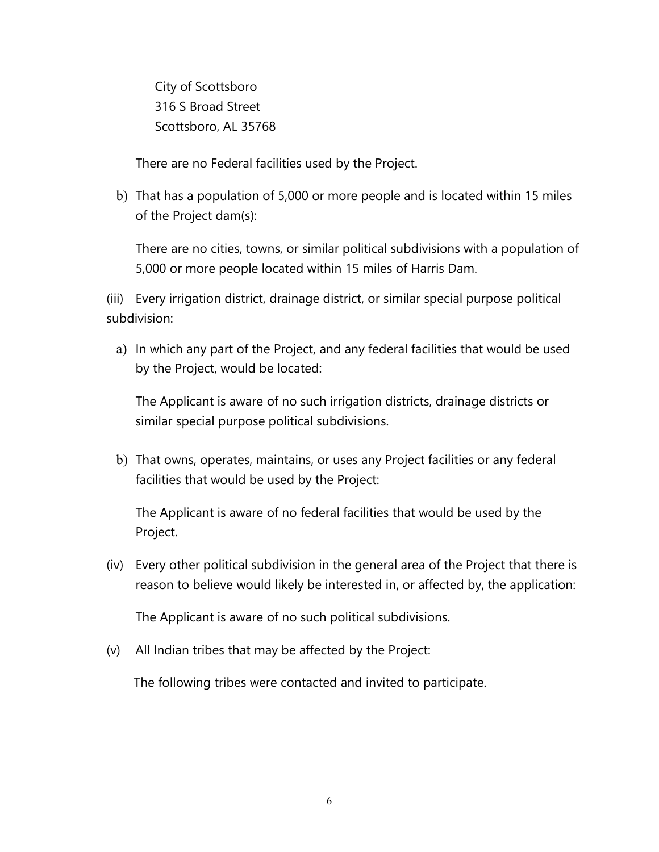City of Scottsboro 316 S Broad Street Scottsboro, AL 35768

There are no Federal facilities used by the Project.

b) That has a population of 5,000 or more people and is located within 15 miles of the Project dam(s):

There are no cities, towns, or similar political subdivisions with a population of 5,000 or more people located within 15 miles of Harris Dam.

(iii) Every irrigation district, drainage district, or similar special purpose political subdivision:

a) In which any part of the Project, and any federal facilities that would be used by the Project, would be located:

The Applicant is aware of no such irrigation districts, drainage districts or similar special purpose political subdivisions.

b) That owns, operates, maintains, or uses any Project facilities or any federal facilities that would be used by the Project:

The Applicant is aware of no federal facilities that would be used by the Project.

(iv) Every other political subdivision in the general area of the Project that there is reason to believe would likely be interested in, or affected by, the application:

The Applicant is aware of no such political subdivisions.

(v) All Indian tribes that may be affected by the Project:

The following tribes were contacted and invited to participate.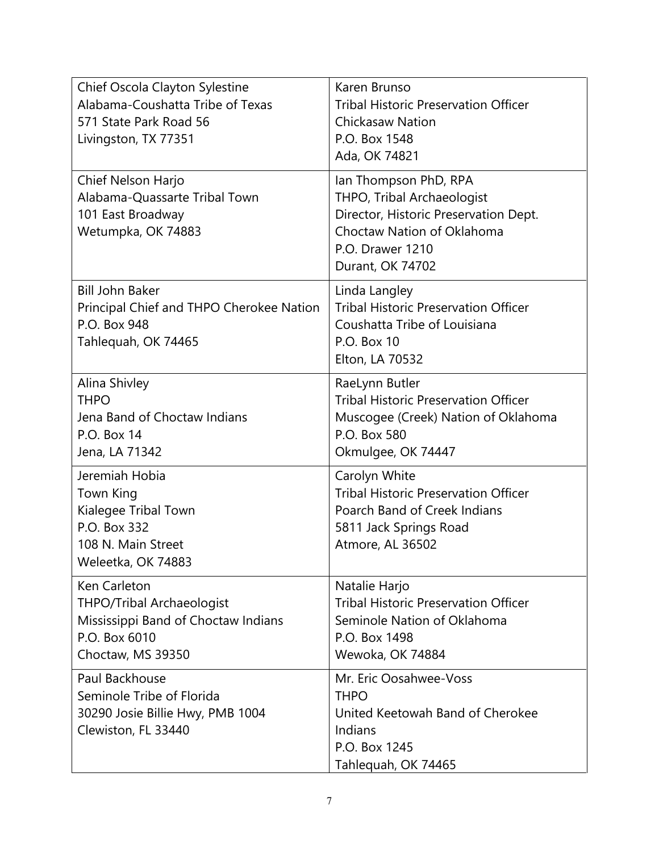| Chief Oscola Clayton Sylestine<br>Alabama-Coushatta Tribe of Texas<br>571 State Park Road 56<br>Livingston, TX 77351          | Karen Brunso<br><b>Tribal Historic Preservation Officer</b><br><b>Chickasaw Nation</b><br>P.O. Box 1548<br>Ada, OK 74821                                           |
|-------------------------------------------------------------------------------------------------------------------------------|--------------------------------------------------------------------------------------------------------------------------------------------------------------------|
| Chief Nelson Harjo<br>Alabama-Quassarte Tribal Town<br>101 East Broadway<br>Wetumpka, OK 74883                                | Ian Thompson PhD, RPA<br>THPO, Tribal Archaeologist<br>Director, Historic Preservation Dept.<br>Choctaw Nation of Oklahoma<br>P.O. Drawer 1210<br>Durant, OK 74702 |
| <b>Bill John Baker</b><br>Principal Chief and THPO Cherokee Nation<br>P.O. Box 948<br>Tahlequah, OK 74465                     | Linda Langley<br><b>Tribal Historic Preservation Officer</b><br>Coushatta Tribe of Louisiana<br>P.O. Box 10<br>Elton, LA 70532                                     |
| Alina Shivley<br><b>THPO</b><br>Jena Band of Choctaw Indians<br>P.O. Box 14<br>Jena, LA 71342                                 | RaeLynn Butler<br><b>Tribal Historic Preservation Officer</b><br>Muscogee (Creek) Nation of Oklahoma<br>P.O. Box 580<br>Okmulgee, OK 74447                         |
| Jeremiah Hobia<br>Town King<br>Kialegee Tribal Town<br>P.O. Box 332<br>108 N. Main Street<br>Weleetka, OK 74883               | Carolyn White<br><b>Tribal Historic Preservation Officer</b><br>Poarch Band of Creek Indians<br>5811 Jack Springs Road<br>Atmore, AL 36502                         |
| Ken Carleton<br><b>THPO/Tribal Archaeologist</b><br>Mississippi Band of Choctaw Indians<br>P.O. Box 6010<br>Choctaw, MS 39350 | Natalie Harjo<br><b>Tribal Historic Preservation Officer</b><br>Seminole Nation of Oklahoma<br>P.O. Box 1498<br>Wewoka, OK 74884                                   |
| Paul Backhouse<br>Seminole Tribe of Florida<br>30290 Josie Billie Hwy, PMB 1004<br>Clewiston, FL 33440                        | Mr. Eric Oosahwee-Voss<br><b>THPO</b><br>United Keetowah Band of Cherokee<br>Indians<br>P.O. Box 1245<br>Tahlequah, OK 74465                                       |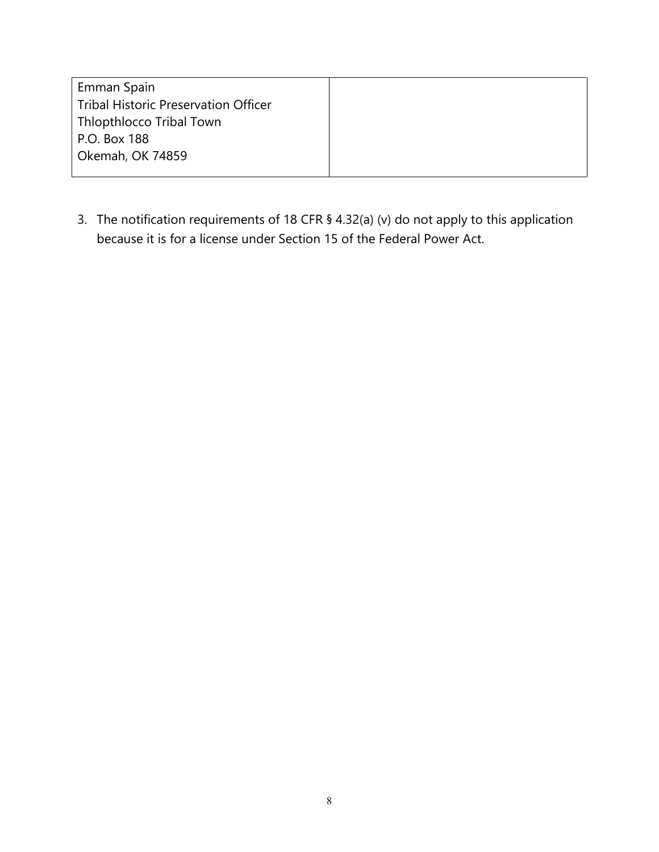| Emman Spain                                 |  |
|---------------------------------------------|--|
| <b>Tribal Historic Preservation Officer</b> |  |
| Thlopthlocco Tribal Town                    |  |
| P.O. Box 188                                |  |
| Okemah, OK 74859                            |  |
|                                             |  |

3. The notification requirements of 18 CFR § 4.32(a) (v) do not apply to this application because it is for a license under Section 15 of the Federal Power Act.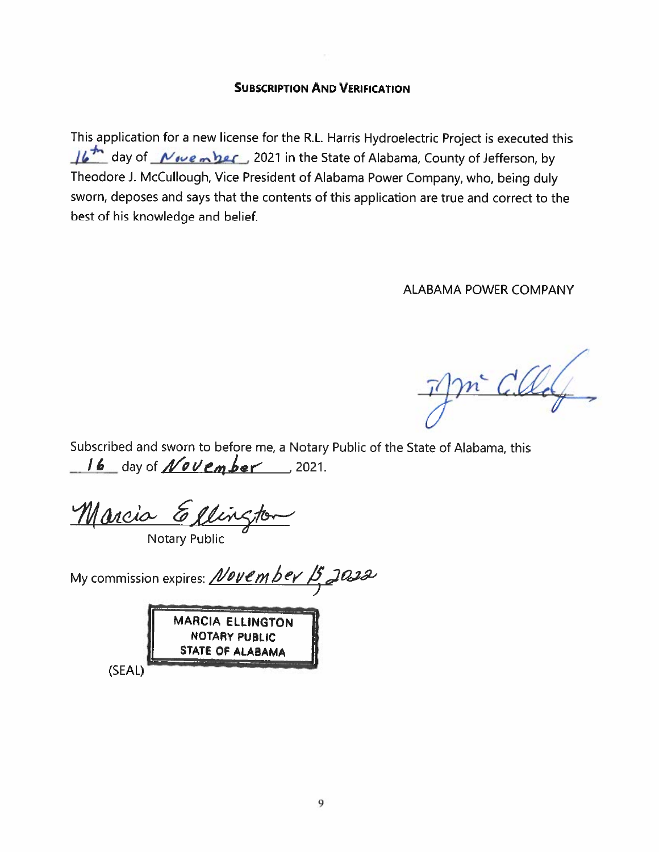## **SUBSCRIPTION AND VERIFICATION**

This application for a new license for the R.L. Harris Hydroelectric Project is executed this 16<sup>th</sup> day of *November*, 2021 in the State of Alabama, County of Jefferson, by Theodore J. McCullough, Vice President of Alabama Power Company, who, being duly sworn, deposes and says that the contents of this application are true and correct to the best of his knowledge and belief.

**ALABAMA POWER COMPANY** 

m CU

Subscribed and sworn to before me, a Notary Public of the State of Alabama, this  $16$  day of *November* 2021.

Marcia Ellina

**Notary Public** 

My commission expires: *November*  $15$  J022



(SEAL)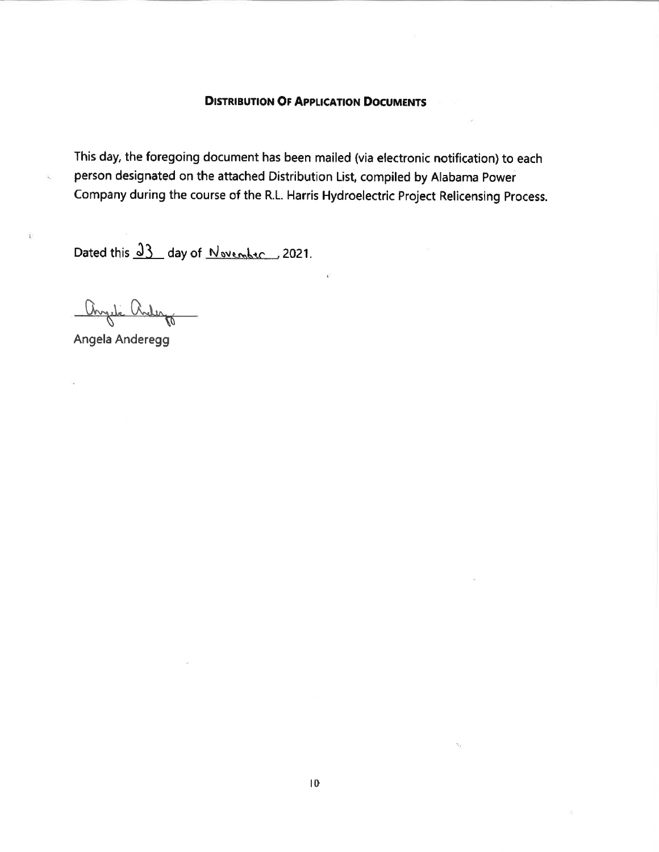#### **DISTRIBUTION OF APPLICATION DOCUMENTS**

This day, the foregoing document has been mailed (via electronic notification) to each person designated on the attached Distribution List, compiled by Alabama Power Company during the course of the R.L. Harris Hydroelectric Project Relicensing Process.

Dated this <u>23</u> day of November 2021.

anyel c Virle

Angela Anderegg

Ŕ.

ÿ,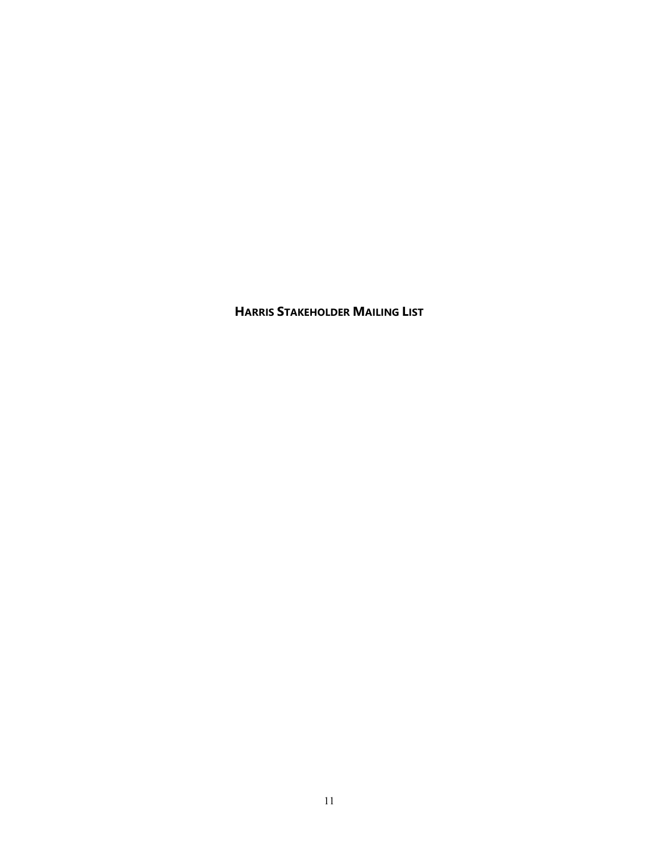**HARRIS STAKEHOLDER MAILING LIST**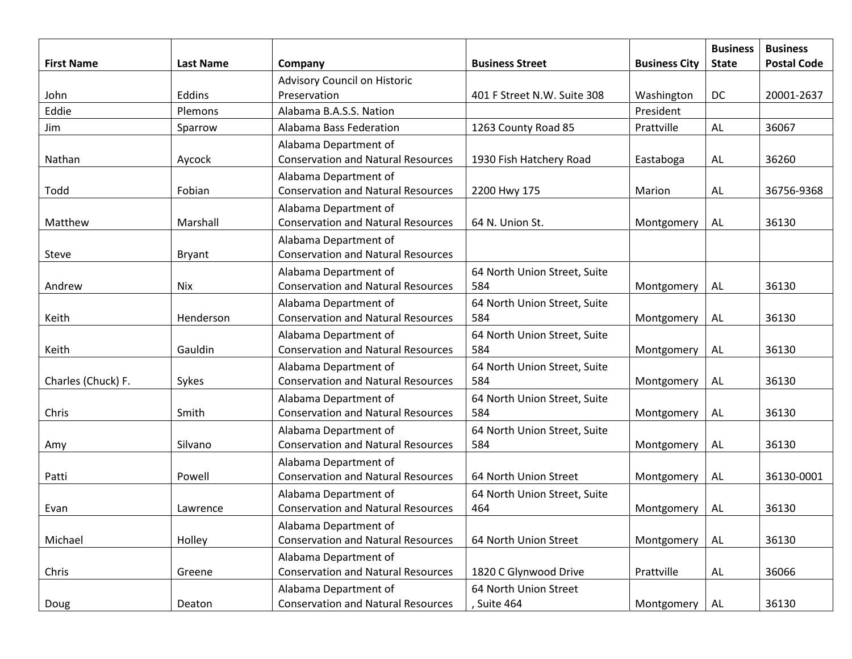|                    |                  |                                                                    |                                     |                      | <b>Business</b> | <b>Business</b>    |
|--------------------|------------------|--------------------------------------------------------------------|-------------------------------------|----------------------|-----------------|--------------------|
| <b>First Name</b>  | <b>Last Name</b> | Company                                                            | <b>Business Street</b>              | <b>Business City</b> | <b>State</b>    | <b>Postal Code</b> |
|                    | Eddins           | <b>Advisory Council on Historic</b><br>Preservation                |                                     |                      | DC              | 20001-2637         |
| John               |                  |                                                                    | 401 F Street N.W. Suite 308         | Washington           |                 |                    |
| Eddie              | Plemons          | Alabama B.A.S.S. Nation                                            |                                     | President            |                 |                    |
| Jim                | Sparrow          | Alabama Bass Federation                                            | 1263 County Road 85                 | Prattville           | AL              | 36067              |
| Nathan             | Aycock           | Alabama Department of<br><b>Conservation and Natural Resources</b> | 1930 Fish Hatchery Road             | Eastaboga            | <b>AL</b>       | 36260              |
|                    |                  | Alabama Department of                                              |                                     |                      |                 |                    |
| Todd               | Fobian           | <b>Conservation and Natural Resources</b>                          | 2200 Hwy 175                        | Marion               | AL              | 36756-9368         |
| Matthew            | Marshall         | Alabama Department of<br><b>Conservation and Natural Resources</b> | 64 N. Union St.                     | Montgomery           | AL              | 36130              |
| Steve              | <b>Bryant</b>    | Alabama Department of<br><b>Conservation and Natural Resources</b> |                                     |                      |                 |                    |
|                    |                  | Alabama Department of                                              | 64 North Union Street, Suite        |                      |                 |                    |
| Andrew             | Nix              | <b>Conservation and Natural Resources</b>                          | 584                                 | Montgomery           | AL              | 36130              |
| Keith              | Henderson        | Alabama Department of<br><b>Conservation and Natural Resources</b> | 64 North Union Street, Suite<br>584 | Montgomery           | <b>AL</b>       | 36130              |
|                    |                  | Alabama Department of                                              | 64 North Union Street, Suite        |                      |                 |                    |
| Keith              | Gauldin          | <b>Conservation and Natural Resources</b>                          | 584                                 | Montgomery           | AL              | 36130              |
|                    |                  | Alabama Department of                                              | 64 North Union Street, Suite        |                      |                 |                    |
| Charles (Chuck) F. | Sykes            | <b>Conservation and Natural Resources</b>                          | 584                                 | Montgomery           | AL              | 36130              |
| Chris              | Smith            | Alabama Department of<br><b>Conservation and Natural Resources</b> | 64 North Union Street, Suite<br>584 | Montgomery           | <b>AL</b>       | 36130              |
|                    |                  | Alabama Department of                                              | 64 North Union Street, Suite        |                      |                 |                    |
| Amy                | Silvano          | <b>Conservation and Natural Resources</b>                          | 584                                 | Montgomery           | AL              | 36130              |
|                    |                  | Alabama Department of                                              |                                     |                      |                 |                    |
| Patti              | Powell           | <b>Conservation and Natural Resources</b>                          | 64 North Union Street               | Montgomery           | AL              | 36130-0001         |
|                    |                  | Alabama Department of                                              | 64 North Union Street, Suite        |                      |                 |                    |
| Evan               | Lawrence         | <b>Conservation and Natural Resources</b>                          | 464                                 | Montgomery           | <b>AL</b>       | 36130              |
| Michael            | Holley           | Alabama Department of<br><b>Conservation and Natural Resources</b> | 64 North Union Street               | Montgomery           | <b>AL</b>       | 36130              |
|                    |                  | Alabama Department of                                              |                                     |                      |                 |                    |
| Chris              | Greene           | <b>Conservation and Natural Resources</b>                          | 1820 C Glynwood Drive               | Prattville           | AL              | 36066              |
|                    |                  | Alabama Department of                                              | 64 North Union Street               |                      |                 |                    |
| Doug               | Deaton           | <b>Conservation and Natural Resources</b>                          | , Suite 464                         | Montgomery           | AL              | 36130              |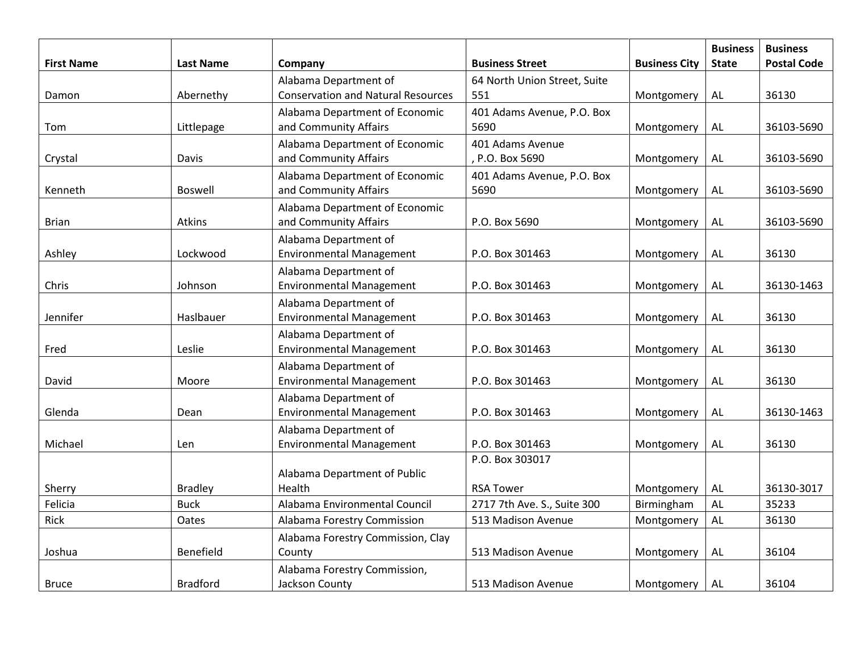| <b>First Name</b> | <b>Last Name</b> | Company                                                  | <b>Business Street</b>       | <b>Business City</b> | <b>Business</b><br><b>State</b> | <b>Business</b><br><b>Postal Code</b> |
|-------------------|------------------|----------------------------------------------------------|------------------------------|----------------------|---------------------------------|---------------------------------------|
|                   |                  | Alabama Department of                                    | 64 North Union Street, Suite |                      |                                 |                                       |
| Damon             | Abernethy        | <b>Conservation and Natural Resources</b>                | 551                          | Montgomery           | AL                              | 36130                                 |
|                   |                  | Alabama Department of Economic                           | 401 Adams Avenue, P.O. Box   |                      |                                 |                                       |
| Tom               | Littlepage       | and Community Affairs                                    | 5690                         | Montgomery           | <b>AL</b>                       | 36103-5690                            |
|                   |                  | Alabama Department of Economic                           | 401 Adams Avenue             |                      |                                 |                                       |
| Crystal           | Davis            | and Community Affairs                                    | P.O. Box 5690                | Montgomery           | <b>AL</b>                       | 36103-5690                            |
|                   |                  | Alabama Department of Economic                           | 401 Adams Avenue, P.O. Box   |                      |                                 |                                       |
| Kenneth           | <b>Boswell</b>   | and Community Affairs                                    | 5690                         | Montgomery           | AL                              | 36103-5690                            |
|                   |                  | Alabama Department of Economic                           |                              |                      |                                 |                                       |
| <b>Brian</b>      | Atkins           | and Community Affairs                                    | P.O. Box 5690                | Montgomery           | AL                              | 36103-5690                            |
|                   |                  | Alabama Department of                                    |                              |                      |                                 |                                       |
| Ashley            | Lockwood         | <b>Environmental Management</b>                          | P.O. Box 301463              | Montgomery           | <b>AL</b>                       | 36130                                 |
|                   |                  | Alabama Department of                                    |                              |                      |                                 |                                       |
| Chris             | Johnson          | <b>Environmental Management</b>                          | P.O. Box 301463              | Montgomery           | <b>AL</b>                       | 36130-1463                            |
| Jennifer          | Haslbauer        | Alabama Department of<br><b>Environmental Management</b> | P.O. Box 301463              | Montgomery           | <b>AL</b>                       | 36130                                 |
|                   |                  | Alabama Department of                                    |                              |                      |                                 |                                       |
| Fred              | Leslie           | <b>Environmental Management</b>                          | P.O. Box 301463              | Montgomery           | $\mathsf{AL}$                   | 36130                                 |
|                   |                  | Alabama Department of                                    |                              |                      |                                 |                                       |
| David             | Moore            | <b>Environmental Management</b>                          | P.O. Box 301463              | Montgomery           | AL                              | 36130                                 |
|                   |                  | Alabama Department of                                    |                              |                      |                                 |                                       |
| Glenda            | Dean             | <b>Environmental Management</b>                          | P.O. Box 301463              | Montgomery           | $\mathsf{AL}$                   | 36130-1463                            |
|                   |                  | Alabama Department of                                    |                              |                      |                                 |                                       |
| Michael           | Len              | <b>Environmental Management</b>                          | P.O. Box 301463              | Montgomery           | AL                              | 36130                                 |
|                   |                  |                                                          | P.O. Box 303017              |                      |                                 |                                       |
|                   |                  | Alabama Department of Public                             |                              |                      |                                 |                                       |
| Sherry            | <b>Bradley</b>   | Health                                                   | <b>RSA Tower</b>             | Montgomery           | AL                              | 36130-3017                            |
| Felicia           | <b>Buck</b>      | Alabama Environmental Council                            | 2717 7th Ave. S., Suite 300  | Birmingham           | AL                              | 35233                                 |
| Rick              | Oates            | Alabama Forestry Commission                              | 513 Madison Avenue           | Montgomery           | <b>AL</b>                       | 36130                                 |
|                   |                  | Alabama Forestry Commission, Clay                        |                              |                      |                                 |                                       |
| Joshua            | Benefield        | County                                                   | 513 Madison Avenue           | Montgomery           | <b>AL</b>                       | 36104                                 |
|                   |                  | Alabama Forestry Commission,                             |                              |                      |                                 |                                       |
| <b>Bruce</b>      | <b>Bradford</b>  | Jackson County                                           | 513 Madison Avenue           | Montgomery           | AL                              | 36104                                 |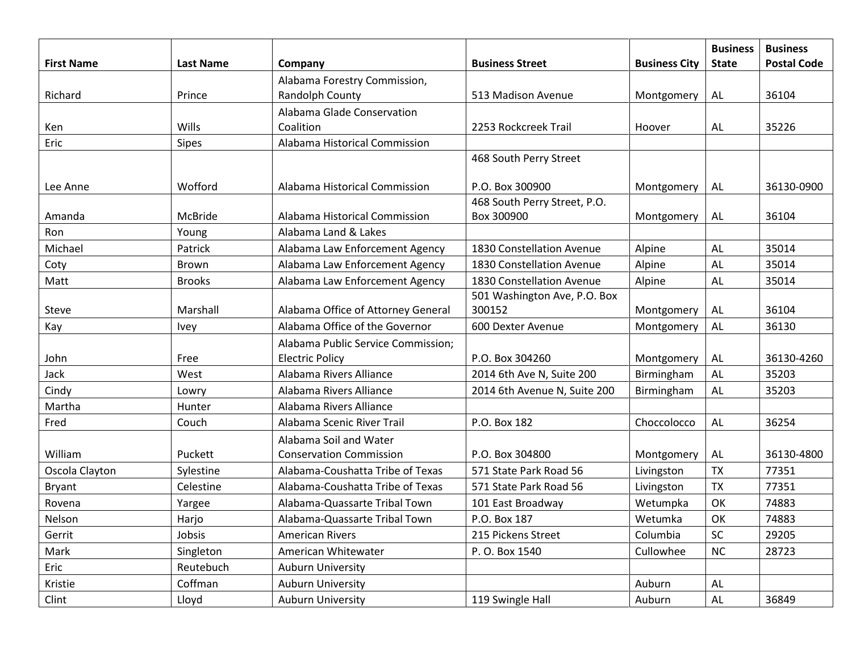|                   |                  |                                    |                              |                      | <b>Business</b> | <b>Business</b>    |
|-------------------|------------------|------------------------------------|------------------------------|----------------------|-----------------|--------------------|
| <b>First Name</b> | <b>Last Name</b> | Company                            | <b>Business Street</b>       | <b>Business City</b> | <b>State</b>    | <b>Postal Code</b> |
|                   |                  | Alabama Forestry Commission,       |                              |                      |                 |                    |
| Richard           | Prince           | Randolph County                    | 513 Madison Avenue           | Montgomery           | AL              | 36104              |
|                   |                  | Alabama Glade Conservation         |                              |                      |                 |                    |
| Ken               | Wills            | Coalition                          | 2253 Rockcreek Trail         | Hoover               | AL              | 35226              |
| Eric              | <b>Sipes</b>     | Alabama Historical Commission      |                              |                      |                 |                    |
|                   |                  |                                    | 468 South Perry Street       |                      |                 |                    |
| Lee Anne          | Wofford          | Alabama Historical Commission      | P.O. Box 300900              | Montgomery           | AL              | 36130-0900         |
|                   |                  |                                    | 468 South Perry Street, P.O. |                      |                 |                    |
| Amanda            | McBride          | Alabama Historical Commission      | Box 300900                   | Montgomery           | AL              | 36104              |
| Ron               | Young            | Alabama Land & Lakes               |                              |                      |                 |                    |
| Michael           | Patrick          | Alabama Law Enforcement Agency     | 1830 Constellation Avenue    | Alpine               | AL              | 35014              |
| Coty              | Brown            | Alabama Law Enforcement Agency     | 1830 Constellation Avenue    | Alpine               | AL              | 35014              |
| Matt              | <b>Brooks</b>    | Alabama Law Enforcement Agency     | 1830 Constellation Avenue    | Alpine               | AL              | 35014              |
|                   |                  |                                    | 501 Washington Ave, P.O. Box |                      |                 |                    |
| Steve             | Marshall         | Alabama Office of Attorney General | 300152                       | Montgomery           | AL              | 36104              |
| Kay               | Ivey             | Alabama Office of the Governor     | 600 Dexter Avenue            | Montgomery           | <b>AL</b>       | 36130              |
|                   |                  | Alabama Public Service Commission; |                              |                      |                 |                    |
| John              | Free             | <b>Electric Policy</b>             | P.O. Box 304260              | Montgomery           | AL              | 36130-4260         |
| Jack              | West             | Alabama Rivers Alliance            | 2014 6th Ave N, Suite 200    | Birmingham           | <b>AL</b>       | 35203              |
| Cindy             | Lowry            | Alabama Rivers Alliance            | 2014 6th Avenue N, Suite 200 | Birmingham           | <b>AL</b>       | 35203              |
| Martha            | Hunter           | Alabama Rivers Alliance            |                              |                      |                 |                    |
| Fred              | Couch            | Alabama Scenic River Trail         | P.O. Box 182                 | Choccolocco          | <b>AL</b>       | 36254              |
|                   |                  | Alabama Soil and Water             |                              |                      |                 |                    |
| William           | Puckett          | <b>Conservation Commission</b>     | P.O. Box 304800              | Montgomery           | AL              | 36130-4800         |
| Oscola Clayton    | Sylestine        | Alabama-Coushatta Tribe of Texas   | 571 State Park Road 56       | Livingston           | <b>TX</b>       | 77351              |
| Bryant            | Celestine        | Alabama-Coushatta Tribe of Texas   | 571 State Park Road 56       | Livingston           | <b>TX</b>       | 77351              |
| Rovena            | Yargee           | Alabama-Quassarte Tribal Town      | 101 East Broadway            | Wetumpka             | OK              | 74883              |
| Nelson            | Harjo            | Alabama-Quassarte Tribal Town      | P.O. Box 187                 | Wetumka              | OK              | 74883              |
| Gerrit            | Jobsis           | <b>American Rivers</b>             | 215 Pickens Street           | Columbia             | SC              | 29205              |
| Mark              | Singleton        | American Whitewater                | P. O. Box 1540               | Cullowhee            | <b>NC</b>       | 28723              |
| Eric              | Reutebuch        | <b>Auburn University</b>           |                              |                      |                 |                    |
| Kristie           | Coffman          | <b>Auburn University</b>           |                              | Auburn               | ${\sf AL}$      |                    |
| Clint             | Lloyd            | <b>Auburn University</b>           | 119 Swingle Hall             | Auburn               | AL              | 36849              |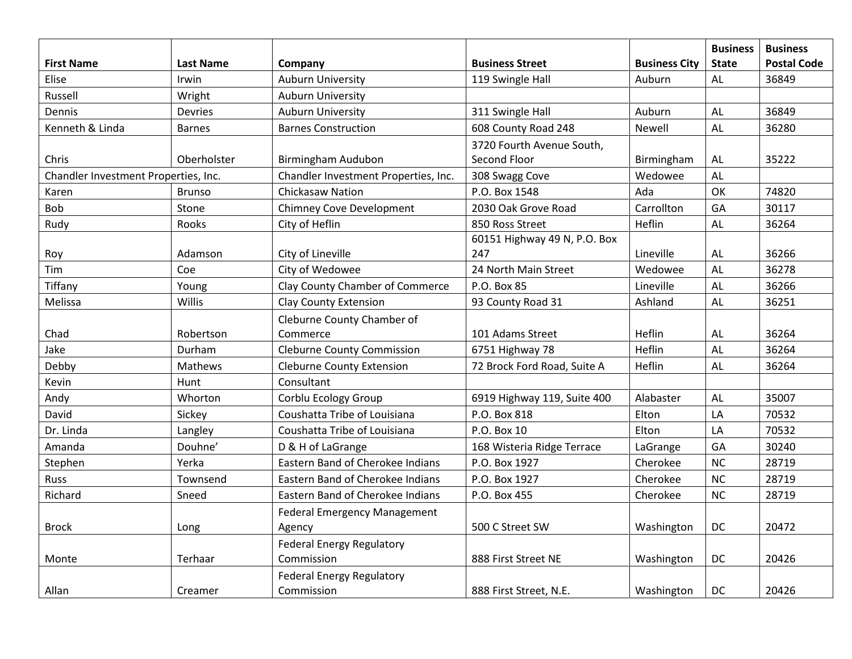| <b>First Name</b>                    | <b>Last Name</b> | Company                              | <b>Business Street</b>       | <b>Business City</b> | <b>Business</b><br><b>State</b> | <b>Business</b><br><b>Postal Code</b> |
|--------------------------------------|------------------|--------------------------------------|------------------------------|----------------------|---------------------------------|---------------------------------------|
| Elise                                | Irwin            | <b>Auburn University</b>             | 119 Swingle Hall             | Auburn               | AL                              | 36849                                 |
| Russell                              | Wright           | <b>Auburn University</b>             |                              |                      |                                 |                                       |
| Dennis                               | Devries          | <b>Auburn University</b>             | 311 Swingle Hall             | Auburn               | <b>AL</b>                       | 36849                                 |
| Kenneth & Linda                      | <b>Barnes</b>    | <b>Barnes Construction</b>           | 608 County Road 248          | Newell               | <b>AL</b>                       | 36280                                 |
|                                      |                  |                                      | 3720 Fourth Avenue South,    |                      |                                 |                                       |
| Chris                                | Oberholster      | Birmingham Audubon                   | Second Floor                 | Birmingham           | <b>AL</b>                       | 35222                                 |
| Chandler Investment Properties, Inc. |                  | Chandler Investment Properties, Inc. | 308 Swagg Cove               | Wedowee              | AL                              |                                       |
| Karen                                | <b>Brunso</b>    | <b>Chickasaw Nation</b>              | P.O. Box 1548                | Ada                  | OK                              | 74820                                 |
| Bob                                  | Stone            | <b>Chimney Cove Development</b>      | 2030 Oak Grove Road          | Carrollton           | GA                              | 30117                                 |
| Rudy                                 | Rooks            | City of Heflin                       | 850 Ross Street              | Heflin               | AL                              | 36264                                 |
|                                      |                  |                                      | 60151 Highway 49 N, P.O. Box |                      |                                 |                                       |
| Roy                                  | Adamson          | City of Lineville                    | 247                          | Lineville            | AL                              | 36266                                 |
| Tim                                  | Coe              | City of Wedowee                      | 24 North Main Street         | Wedowee              | <b>AL</b>                       | 36278                                 |
| Tiffany                              | Young            | Clay County Chamber of Commerce      | P.O. Box 85                  | Lineville            | AL                              | 36266                                 |
| Melissa                              | Willis           | <b>Clay County Extension</b>         | 93 County Road 31            | Ashland              | AL                              | 36251                                 |
|                                      |                  | Cleburne County Chamber of           |                              |                      |                                 |                                       |
| Chad                                 | Robertson        | Commerce                             | 101 Adams Street             | Heflin               | AL                              | 36264                                 |
| Jake                                 | Durham           | <b>Cleburne County Commission</b>    | 6751 Highway 78              | Heflin               | AL                              | 36264                                 |
| Debby                                | <b>Mathews</b>   | <b>Cleburne County Extension</b>     | 72 Brock Ford Road, Suite A  | Heflin               | AL                              | 36264                                 |
| Kevin                                | Hunt             | Consultant                           |                              |                      |                                 |                                       |
| Andy                                 | Whorton          | Corblu Ecology Group                 | 6919 Highway 119, Suite 400  | Alabaster            | AL                              | 35007                                 |
| David                                | Sickey           | Coushatta Tribe of Louisiana         | P.O. Box 818                 | Elton                | LA                              | 70532                                 |
| Dr. Linda                            | Langley          | Coushatta Tribe of Louisiana         | P.O. Box 10                  | Elton                | LA                              | 70532                                 |
| Amanda                               | Douhne'          | D & H of LaGrange                    | 168 Wisteria Ridge Terrace   | LaGrange             | GA                              | 30240                                 |
| Stephen                              | Yerka            | Eastern Band of Cherokee Indians     | P.O. Box 1927                | Cherokee             | <b>NC</b>                       | 28719                                 |
| Russ                                 | Townsend         | Eastern Band of Cherokee Indians     | P.O. Box 1927                | Cherokee             | <b>NC</b>                       | 28719                                 |
| Richard                              | Sneed            | Eastern Band of Cherokee Indians     | P.O. Box 455                 | Cherokee             | <b>NC</b>                       | 28719                                 |
|                                      |                  | <b>Federal Emergency Management</b>  |                              |                      |                                 |                                       |
| <b>Brock</b>                         | Long             | Agency                               | 500 C Street SW              | Washington           | DC                              | 20472                                 |
|                                      |                  | <b>Federal Energy Regulatory</b>     |                              |                      |                                 |                                       |
| Monte                                | Terhaar          | Commission                           | 888 First Street NE          | Washington           | DC                              | 20426                                 |
|                                      |                  | <b>Federal Energy Regulatory</b>     |                              |                      |                                 |                                       |
| Allan                                | Creamer          | Commission                           | 888 First Street, N.E.       | Washington           | DC                              | 20426                                 |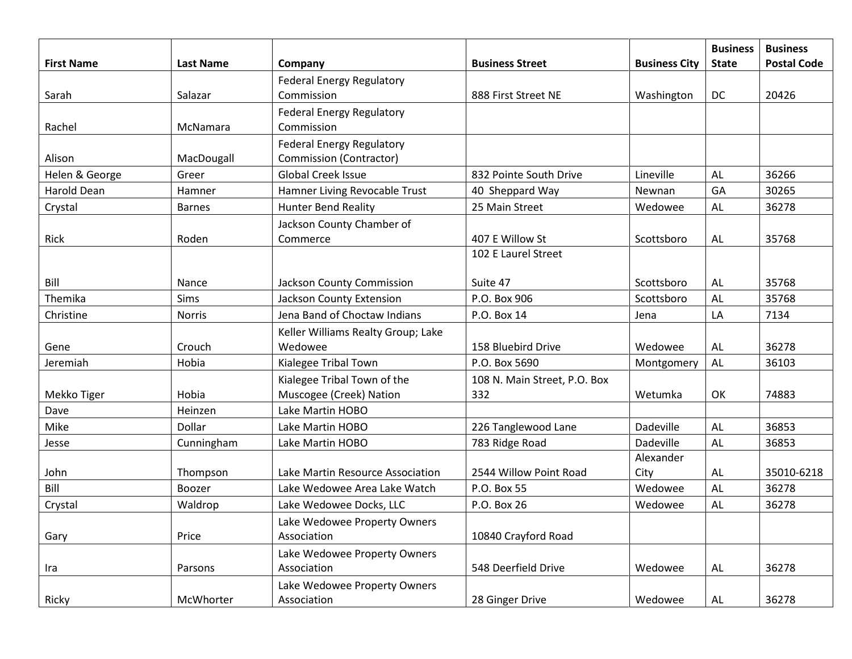| <b>First Name</b> | <b>Last Name</b> | Company                            | <b>Business Street</b>       | <b>Business City</b>   | <b>Business</b><br><b>State</b> | <b>Business</b><br><b>Postal Code</b> |
|-------------------|------------------|------------------------------------|------------------------------|------------------------|---------------------------------|---------------------------------------|
|                   |                  | <b>Federal Energy Regulatory</b>   |                              |                        |                                 |                                       |
| Sarah             | Salazar          | Commission                         | 888 First Street NE          | Washington             | DC                              | 20426                                 |
|                   |                  | <b>Federal Energy Regulatory</b>   |                              |                        |                                 |                                       |
| Rachel            | McNamara         | Commission                         |                              |                        |                                 |                                       |
|                   |                  | <b>Federal Energy Regulatory</b>   |                              |                        |                                 |                                       |
| Alison            | MacDougall       | <b>Commission (Contractor)</b>     |                              |                        |                                 |                                       |
| Helen & George    | Greer            | <b>Global Creek Issue</b>          | 832 Pointe South Drive       | Lineville              | AL                              | 36266                                 |
| Harold Dean       | Hamner           | Hamner Living Revocable Trust      | 40 Sheppard Way              | Newnan                 | GA                              | 30265                                 |
| Crystal           | <b>Barnes</b>    | <b>Hunter Bend Reality</b>         | 25 Main Street               | Wedowee                | <b>AL</b>                       | 36278                                 |
|                   |                  | Jackson County Chamber of          |                              |                        |                                 |                                       |
| Rick              | Roden            | Commerce                           | 407 E Willow St              | Scottsboro             | <b>AL</b>                       | 35768                                 |
|                   |                  |                                    | 102 E Laurel Street          |                        |                                 |                                       |
|                   |                  |                                    |                              |                        |                                 |                                       |
| Bill              | Nance            | Jackson County Commission          | Suite 47                     | Scottsboro             | AL                              | 35768                                 |
| Themika           | Sims             | <b>Jackson County Extension</b>    | P.O. Box 906                 | Scottsboro             | AL                              | 35768                                 |
| Christine         | <b>Norris</b>    | Jena Band of Choctaw Indians       | P.O. Box 14                  | Jena                   | LA                              | 7134                                  |
|                   |                  | Keller Williams Realty Group; Lake |                              |                        |                                 |                                       |
| Gene              | Crouch           | Wedowee                            | 158 Bluebird Drive           | Wedowee                | <b>AL</b>                       | 36278                                 |
| Jeremiah          | Hobia            | Kialegee Tribal Town               | P.O. Box 5690                | Montgomery             | <b>AL</b>                       | 36103                                 |
|                   |                  | Kialegee Tribal Town of the        | 108 N. Main Street, P.O. Box |                        |                                 |                                       |
| Mekko Tiger       | Hobia            | Muscogee (Creek) Nation            | 332                          | Wetumka                | OK                              | 74883                                 |
| Dave              | Heinzen          | Lake Martin HOBO                   |                              |                        |                                 |                                       |
| Mike              | Dollar           | Lake Martin HOBO                   | 226 Tanglewood Lane          | Dadeville              | AL                              | 36853                                 |
| Jesse             | Cunningham       | Lake Martin HOBO                   | 783 Ridge Road               | Dadeville<br>Alexander | AL                              | 36853                                 |
| John              | Thompson         | Lake Martin Resource Association   | 2544 Willow Point Road       | City                   | AL                              | 35010-6218                            |
| Bill              | Boozer           | Lake Wedowee Area Lake Watch       | P.O. Box 55                  | Wedowee                | AL                              | 36278                                 |
| Crystal           | Waldrop          | Lake Wedowee Docks, LLC            | P.O. Box 26                  | Wedowee                | AL                              | 36278                                 |
|                   |                  | Lake Wedowee Property Owners       |                              |                        |                                 |                                       |
| Gary              | Price            | Association                        | 10840 Crayford Road          |                        |                                 |                                       |
|                   |                  | Lake Wedowee Property Owners       |                              |                        |                                 |                                       |
| Ira               | Parsons          | Association                        | 548 Deerfield Drive          | Wedowee                | AL                              | 36278                                 |
|                   |                  | Lake Wedowee Property Owners       |                              |                        |                                 |                                       |
| Ricky             | McWhorter        | Association                        | 28 Ginger Drive              | Wedowee                | AL                              | 36278                                 |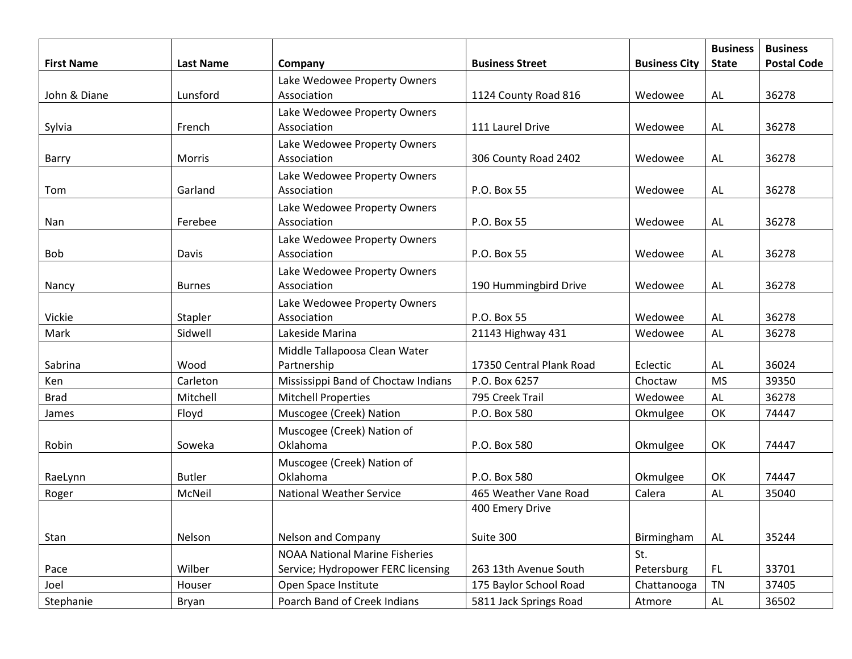| <b>First Name</b> | <b>Last Name</b> | Company                               | <b>Business Street</b>   | <b>Business City</b> | <b>Business</b><br><b>State</b> | <b>Business</b><br><b>Postal Code</b> |
|-------------------|------------------|---------------------------------------|--------------------------|----------------------|---------------------------------|---------------------------------------|
|                   |                  | Lake Wedowee Property Owners          |                          |                      |                                 |                                       |
| John & Diane      | Lunsford         | Association                           | 1124 County Road 816     | Wedowee              | AL                              | 36278                                 |
|                   |                  | Lake Wedowee Property Owners          |                          |                      |                                 |                                       |
| Sylvia            | French           | Association                           | 111 Laurel Drive         | Wedowee              | AL                              | 36278                                 |
|                   |                  | Lake Wedowee Property Owners          |                          |                      |                                 |                                       |
| Barry             | Morris           | Association                           | 306 County Road 2402     | Wedowee              | AL                              | 36278                                 |
|                   |                  | Lake Wedowee Property Owners          |                          |                      |                                 |                                       |
| Tom               | Garland          | Association                           | P.O. Box 55              | Wedowee              | AL                              | 36278                                 |
|                   |                  | Lake Wedowee Property Owners          |                          |                      |                                 |                                       |
| Nan               | Ferebee          | Association                           | P.O. Box 55              | Wedowee              | AL                              | 36278                                 |
|                   |                  | Lake Wedowee Property Owners          |                          |                      |                                 |                                       |
| <b>Bob</b>        | Davis            | Association                           | P.O. Box 55              | Wedowee              | AL                              | 36278                                 |
|                   |                  | Lake Wedowee Property Owners          |                          |                      |                                 |                                       |
| Nancy             | <b>Burnes</b>    | Association                           | 190 Hummingbird Drive    | Wedowee              | AL                              | 36278                                 |
|                   |                  | Lake Wedowee Property Owners          |                          |                      |                                 |                                       |
| Vickie            | Stapler          | Association                           | P.O. Box 55              | Wedowee              | AL                              | 36278                                 |
| Mark              | Sidwell          | Lakeside Marina                       | 21143 Highway 431        | Wedowee              | AL                              | 36278                                 |
|                   |                  | Middle Tallapoosa Clean Water         |                          |                      |                                 |                                       |
| Sabrina           | Wood             | Partnership                           | 17350 Central Plank Road | Eclectic             | AL                              | 36024                                 |
| Ken               | Carleton         | Mississippi Band of Choctaw Indians   | P.O. Box 6257            | Choctaw              | <b>MS</b>                       | 39350                                 |
| <b>Brad</b>       | Mitchell         | <b>Mitchell Properties</b>            | 795 Creek Trail          | Wedowee              | AL                              | 36278                                 |
| James             | Floyd            | Muscogee (Creek) Nation               | P.O. Box 580             | Okmulgee             | OK                              | 74447                                 |
|                   |                  | Muscogee (Creek) Nation of            |                          |                      |                                 |                                       |
| Robin             | Soweka           | Oklahoma                              | P.O. Box 580             | Okmulgee             | OK                              | 74447                                 |
|                   |                  | Muscogee (Creek) Nation of            |                          |                      |                                 |                                       |
| RaeLynn           | <b>Butler</b>    | Oklahoma                              | P.O. Box 580             | Okmulgee             | OK                              | 74447                                 |
| Roger             | McNeil           | <b>National Weather Service</b>       | 465 Weather Vane Road    | Calera               | AL                              | 35040                                 |
|                   |                  |                                       | 400 Emery Drive          |                      |                                 |                                       |
| Stan              | Nelson           | Nelson and Company                    | Suite 300                | Birmingham           | AL                              | 35244                                 |
|                   |                  | <b>NOAA National Marine Fisheries</b> |                          | St.                  |                                 |                                       |
| Pace              | Wilber           | Service; Hydropower FERC licensing    | 263 13th Avenue South    | Petersburg           | FL.                             | 33701                                 |
| Joel              | Houser           | Open Space Institute                  | 175 Baylor School Road   | Chattanooga          | TN                              | 37405                                 |
| Stephanie         | Bryan            | Poarch Band of Creek Indians          | 5811 Jack Springs Road   | Atmore               | AL                              | 36502                                 |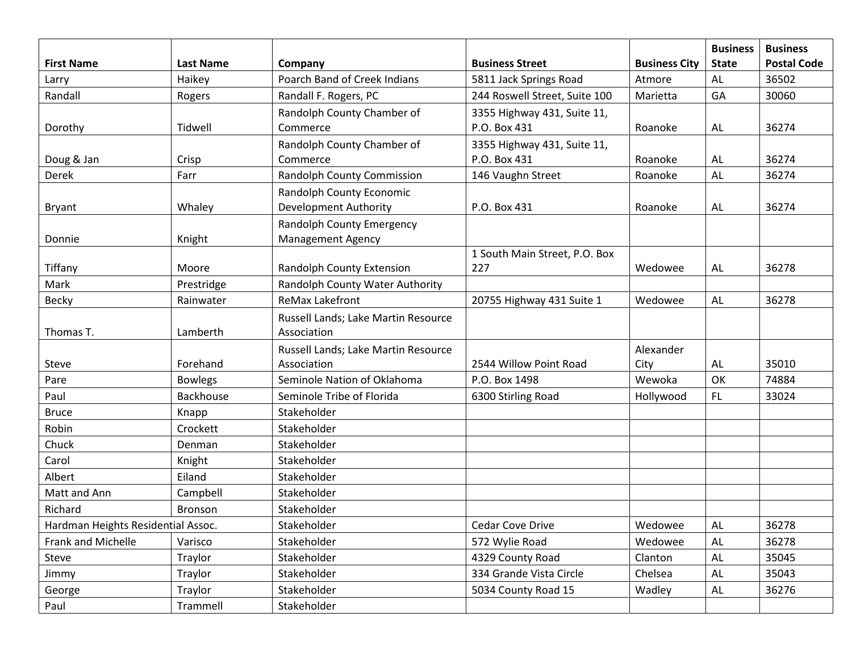| <b>First Name</b>                  | <b>Last Name</b> | Company                             | <b>Business Street</b>        | <b>Business City</b> | <b>Business</b><br><b>State</b> | <b>Business</b><br><b>Postal Code</b> |
|------------------------------------|------------------|-------------------------------------|-------------------------------|----------------------|---------------------------------|---------------------------------------|
| Larry                              | Haikey           | Poarch Band of Creek Indians        | 5811 Jack Springs Road        | Atmore               | AL                              | 36502                                 |
| Randall                            | Rogers           | Randall F. Rogers, PC               | 244 Roswell Street, Suite 100 | Marietta             | GA                              | 30060                                 |
|                                    |                  | Randolph County Chamber of          | 3355 Highway 431, Suite 11,   |                      |                                 |                                       |
| Dorothy                            | Tidwell          | Commerce                            | P.O. Box 431                  | Roanoke              | AL                              | 36274                                 |
|                                    |                  | Randolph County Chamber of          | 3355 Highway 431, Suite 11,   |                      |                                 |                                       |
| Doug & Jan                         | Crisp            | Commerce                            | P.O. Box 431                  | Roanoke              | AL                              | 36274                                 |
| Derek                              | Farr             | <b>Randolph County Commission</b>   | 146 Vaughn Street             | Roanoke              | AL                              | 36274                                 |
|                                    |                  | Randolph County Economic            |                               |                      |                                 |                                       |
| Bryant                             | Whaley           | <b>Development Authority</b>        | P.O. Box 431                  | Roanoke              | <b>AL</b>                       | 36274                                 |
|                                    |                  | Randolph County Emergency           |                               |                      |                                 |                                       |
| Donnie                             | Knight           | <b>Management Agency</b>            |                               |                      |                                 |                                       |
|                                    |                  |                                     | 1 South Main Street, P.O. Box |                      |                                 |                                       |
| Tiffany                            | Moore            | <b>Randolph County Extension</b>    | 227                           | Wedowee              | AL                              | 36278                                 |
| Mark                               | Prestridge       | Randolph County Water Authority     |                               |                      |                                 |                                       |
| <b>Becky</b>                       | Rainwater        | <b>ReMax Lakefront</b>              | 20755 Highway 431 Suite 1     | Wedowee              | AL                              | 36278                                 |
|                                    |                  | Russell Lands; Lake Martin Resource |                               |                      |                                 |                                       |
| Thomas T.                          | Lamberth         | Association                         |                               |                      |                                 |                                       |
|                                    |                  | Russell Lands; Lake Martin Resource |                               | Alexander            |                                 |                                       |
| Steve                              | Forehand         | Association                         | 2544 Willow Point Road        | City                 | AL                              | 35010                                 |
| Pare                               | <b>Bowlegs</b>   | Seminole Nation of Oklahoma         | P.O. Box 1498                 | Wewoka               | OK                              | 74884                                 |
| Paul                               | Backhouse        | Seminole Tribe of Florida           | 6300 Stirling Road            | Hollywood            | <b>FL</b>                       | 33024                                 |
| <b>Bruce</b>                       | Knapp            | Stakeholder                         |                               |                      |                                 |                                       |
| Robin                              | Crockett         | Stakeholder                         |                               |                      |                                 |                                       |
| Chuck                              | Denman           | Stakeholder                         |                               |                      |                                 |                                       |
| Carol                              | Knight           | Stakeholder                         |                               |                      |                                 |                                       |
| Albert                             | Eiland           | Stakeholder                         |                               |                      |                                 |                                       |
| Matt and Ann                       | Campbell         | Stakeholder                         |                               |                      |                                 |                                       |
| Richard                            | <b>Bronson</b>   | Stakeholder                         |                               |                      |                                 |                                       |
| Hardman Heights Residential Assoc. |                  | Stakeholder                         | Cedar Cove Drive              | Wedowee              | <b>AL</b>                       | 36278                                 |
| Frank and Michelle                 | Varisco          | Stakeholder                         | 572 Wylie Road                | Wedowee              | <b>AL</b>                       | 36278                                 |
| Steve                              | Traylor          | Stakeholder                         | 4329 County Road              | Clanton              | <b>AL</b>                       | 35045                                 |
| Jimmy                              | Traylor          | Stakeholder                         | 334 Grande Vista Circle       | Chelsea              | <b>AL</b>                       | 35043                                 |
| George                             | Traylor          | Stakeholder                         | 5034 County Road 15           | Wadley               | AL                              | 36276                                 |
| Paul                               | Trammell         | Stakeholder                         |                               |                      |                                 |                                       |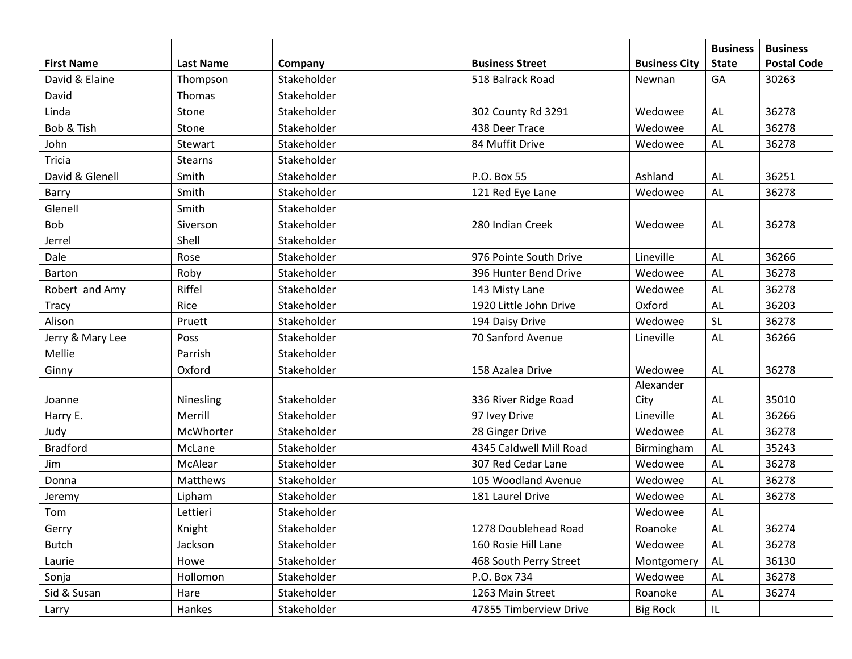|                   |                  |             |                         |                      | <b>Business</b> | <b>Business</b>    |
|-------------------|------------------|-------------|-------------------------|----------------------|-----------------|--------------------|
| <b>First Name</b> | <b>Last Name</b> | Company     | <b>Business Street</b>  | <b>Business City</b> | <b>State</b>    | <b>Postal Code</b> |
| David & Elaine    | Thompson         | Stakeholder | 518 Balrack Road        | Newnan               | GA              | 30263              |
| David             | Thomas           | Stakeholder |                         |                      |                 |                    |
| Linda             | Stone            | Stakeholder | 302 County Rd 3291      | Wedowee              | <b>AL</b>       | 36278              |
| Bob & Tish        | Stone            | Stakeholder | 438 Deer Trace          | Wedowee              | AL              | 36278              |
| John              | Stewart          | Stakeholder | 84 Muffit Drive         | Wedowee              | <b>AL</b>       | 36278              |
| Tricia            | Stearns          | Stakeholder |                         |                      |                 |                    |
| David & Glenell   | Smith            | Stakeholder | P.O. Box 55             | Ashland              | AL              | 36251              |
| Barry             | Smith            | Stakeholder | 121 Red Eye Lane        | Wedowee              | AL              | 36278              |
| Glenell           | Smith            | Stakeholder |                         |                      |                 |                    |
| Bob               | Siverson         | Stakeholder | 280 Indian Creek        | Wedowee              | <b>AL</b>       | 36278              |
| Jerrel            | Shell            | Stakeholder |                         |                      |                 |                    |
| Dale              | Rose             | Stakeholder | 976 Pointe South Drive  | Lineville            | AL              | 36266              |
| Barton            | Roby             | Stakeholder | 396 Hunter Bend Drive   | Wedowee              | <b>AL</b>       | 36278              |
| Robert and Amy    | Riffel           | Stakeholder | 143 Misty Lane          | Wedowee              | AL              | 36278              |
| Tracy             | Rice             | Stakeholder | 1920 Little John Drive  | Oxford               | <b>AL</b>       | 36203              |
| Alison            | Pruett           | Stakeholder | 194 Daisy Drive         | Wedowee              | <b>SL</b>       | 36278              |
| Jerry & Mary Lee  | Poss             | Stakeholder | 70 Sanford Avenue       | Lineville            | AL              | 36266              |
| Mellie            | Parrish          | Stakeholder |                         |                      |                 |                    |
| Ginny             | Oxford           | Stakeholder | 158 Azalea Drive        | Wedowee              | <b>AL</b>       | 36278              |
|                   |                  |             |                         | Alexander            |                 |                    |
| Joanne            | Ninesling        | Stakeholder | 336 River Ridge Road    | City                 | AL              | 35010              |
| Harry E.          | Merrill          | Stakeholder | 97 Ivey Drive           | Lineville            | AL              | 36266              |
| Judy              | McWhorter        | Stakeholder | 28 Ginger Drive         | Wedowee              | <b>AL</b>       | 36278              |
| <b>Bradford</b>   | McLane           | Stakeholder | 4345 Caldwell Mill Road | Birmingham           | <b>AL</b>       | 35243              |
| Jim               | McAlear          | Stakeholder | 307 Red Cedar Lane      | Wedowee              | AL              | 36278              |
| Donna             | Matthews         | Stakeholder | 105 Woodland Avenue     | Wedowee              | <b>AL</b>       | 36278              |
| Jeremy            | Lipham           | Stakeholder | 181 Laurel Drive        | Wedowee              | <b>AL</b>       | 36278              |
| Tom               | Lettieri         | Stakeholder |                         | Wedowee              | <b>AL</b>       |                    |
| Gerry             | Knight           | Stakeholder | 1278 Doublehead Road    | Roanoke              | AL              | 36274              |
| <b>Butch</b>      | Jackson          | Stakeholder | 160 Rosie Hill Lane     | Wedowee              | <b>AL</b>       | 36278              |
| Laurie            | Howe             | Stakeholder | 468 South Perry Street  | Montgomery           | AL              | 36130              |
| Sonja             | Hollomon         | Stakeholder | P.O. Box 734            | Wedowee              | AL              | 36278              |
| Sid & Susan       | Hare             | Stakeholder | 1263 Main Street        | Roanoke              | AL              | 36274              |
| Larry             | Hankes           | Stakeholder | 47855 Timberview Drive  | <b>Big Rock</b>      | IL              |                    |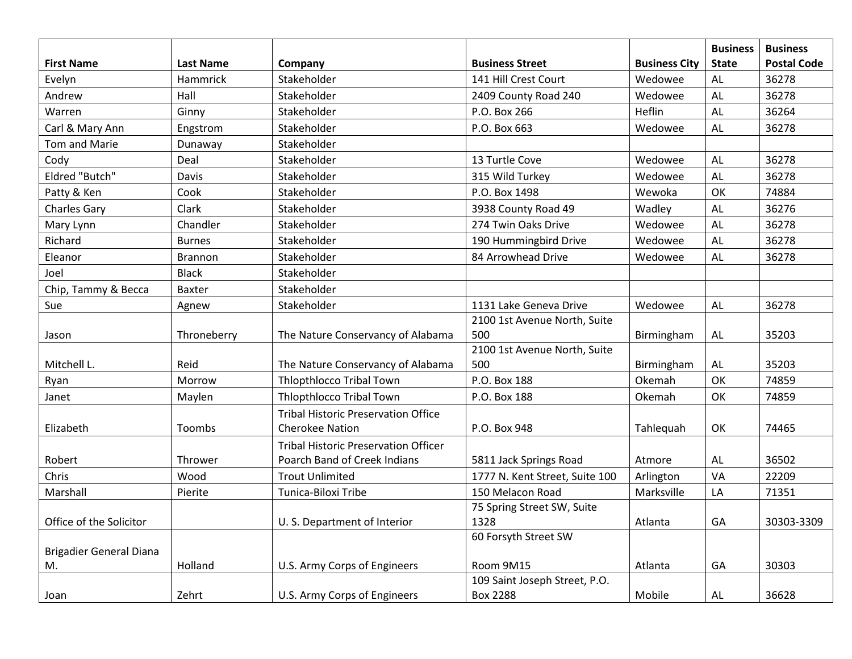|                                |                  |                                             |                                |                      | <b>Business</b> | <b>Business</b>    |
|--------------------------------|------------------|---------------------------------------------|--------------------------------|----------------------|-----------------|--------------------|
| <b>First Name</b>              | <b>Last Name</b> | Company                                     | <b>Business Street</b>         | <b>Business City</b> | <b>State</b>    | <b>Postal Code</b> |
| Evelyn                         | Hammrick         | Stakeholder                                 | 141 Hill Crest Court           | Wedowee              | <b>AL</b>       | 36278              |
| Andrew                         | Hall             | Stakeholder                                 | 2409 County Road 240           | Wedowee              | <b>AL</b>       | 36278              |
| Warren                         | Ginny            | Stakeholder                                 | P.O. Box 266                   | Heflin               | <b>AL</b>       | 36264              |
| Carl & Mary Ann                | Engstrom         | Stakeholder                                 | P.O. Box 663                   | Wedowee              | <b>AL</b>       | 36278              |
| Tom and Marie                  | Dunaway          | Stakeholder                                 |                                |                      |                 |                    |
| Cody                           | Deal             | Stakeholder                                 | 13 Turtle Cove                 | Wedowee              | <b>AL</b>       | 36278              |
| <b>Eldred "Butch"</b>          | Davis            | Stakeholder                                 | 315 Wild Turkey                | Wedowee              | <b>AL</b>       | 36278              |
| Patty & Ken                    | Cook             | Stakeholder                                 | P.O. Box 1498                  | Wewoka               | OK              | 74884              |
| <b>Charles Gary</b>            | Clark            | Stakeholder                                 | 3938 County Road 49            | Wadley               | <b>AL</b>       | 36276              |
| Mary Lynn                      | Chandler         | Stakeholder                                 | 274 Twin Oaks Drive            | Wedowee              | <b>AL</b>       | 36278              |
| Richard                        | <b>Burnes</b>    | Stakeholder                                 | 190 Hummingbird Drive          | Wedowee              | <b>AL</b>       | 36278              |
| Eleanor                        | <b>Brannon</b>   | Stakeholder                                 | 84 Arrowhead Drive             | Wedowee              | AL              | 36278              |
| Joel                           | <b>Black</b>     | Stakeholder                                 |                                |                      |                 |                    |
| Chip, Tammy & Becca            | Baxter           | Stakeholder                                 |                                |                      |                 |                    |
| Sue                            | Agnew            | Stakeholder                                 | 1131 Lake Geneva Drive         | Wedowee              | <b>AL</b>       | 36278              |
|                                |                  |                                             | 2100 1st Avenue North, Suite   |                      |                 |                    |
| Jason                          | Throneberry      | The Nature Conservancy of Alabama           | 500                            | Birmingham           | AL              | 35203              |
|                                |                  |                                             | 2100 1st Avenue North, Suite   |                      |                 |                    |
| Mitchell L.                    | Reid             | The Nature Conservancy of Alabama           | 500                            | Birmingham           | AL              | 35203              |
| Ryan                           | Morrow           | <b>Thlopthlocco Tribal Town</b>             | P.O. Box 188                   | Okemah               | OK              | 74859              |
| Janet                          | Maylen           | Thlopthlocco Tribal Town                    | P.O. Box 188                   | Okemah               | OK              | 74859              |
|                                |                  | <b>Tribal Historic Preservation Office</b>  |                                |                      |                 |                    |
| Elizabeth                      | Toombs           | <b>Cherokee Nation</b>                      | P.O. Box 948                   | Tahlequah            | OK              | 74465              |
|                                |                  | <b>Tribal Historic Preservation Officer</b> |                                |                      |                 |                    |
| Robert                         | Thrower          | Poarch Band of Creek Indians                | 5811 Jack Springs Road         | Atmore               | AL              | 36502              |
| Chris                          | Wood             | <b>Trout Unlimited</b>                      | 1777 N. Kent Street, Suite 100 | Arlington            | VA              | 22209              |
| Marshall                       | Pierite          | Tunica-Biloxi Tribe                         | 150 Melacon Road               | Marksville           | LA              | 71351              |
|                                |                  |                                             | 75 Spring Street SW, Suite     |                      |                 |                    |
| Office of the Solicitor        |                  | U.S. Department of Interior                 | 1328                           | Atlanta              | GA              | 30303-3309         |
|                                |                  |                                             | 60 Forsyth Street SW           |                      |                 |                    |
| <b>Brigadier General Diana</b> |                  |                                             |                                |                      |                 |                    |
| M.                             | Holland          | U.S. Army Corps of Engineers                | Room 9M15                      | Atlanta              | GA              | 30303              |
|                                |                  |                                             | 109 Saint Joseph Street, P.O.  |                      |                 |                    |
| Joan                           | Zehrt            | U.S. Army Corps of Engineers                | <b>Box 2288</b>                | Mobile               | AL              | 36628              |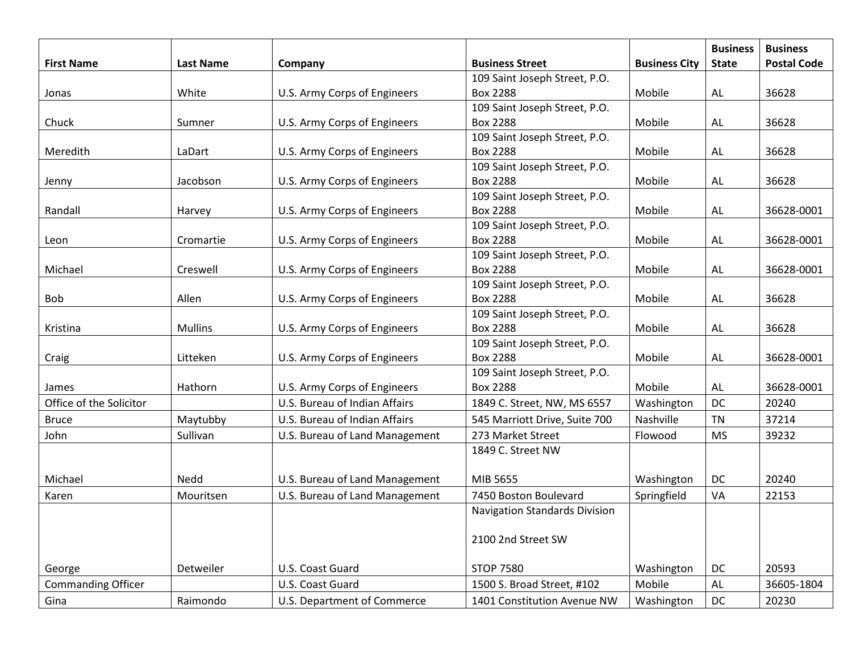|                           |                  |                                |                                      |                      | <b>Business</b> | <b>Business</b>    |
|---------------------------|------------------|--------------------------------|--------------------------------------|----------------------|-----------------|--------------------|
| <b>First Name</b>         | <b>Last Name</b> | Company                        | <b>Business Street</b>               | <b>Business City</b> | <b>State</b>    | <b>Postal Code</b> |
|                           |                  |                                | 109 Saint Joseph Street, P.O.        |                      |                 |                    |
| Jonas                     | White            | U.S. Army Corps of Engineers   | <b>Box 2288</b>                      | Mobile               | AL              | 36628              |
|                           |                  |                                | 109 Saint Joseph Street, P.O.        |                      |                 |                    |
| Chuck                     | Sumner           | U.S. Army Corps of Engineers   | <b>Box 2288</b>                      | Mobile               | <b>AL</b>       | 36628              |
|                           |                  |                                | 109 Saint Joseph Street, P.O.        |                      |                 |                    |
| Meredith                  | LaDart           | U.S. Army Corps of Engineers   | <b>Box 2288</b>                      | Mobile               | AL              | 36628              |
|                           |                  |                                | 109 Saint Joseph Street, P.O.        |                      |                 |                    |
| Jenny                     | Jacobson         | U.S. Army Corps of Engineers   | <b>Box 2288</b>                      | Mobile               | <b>AL</b>       | 36628              |
|                           |                  |                                | 109 Saint Joseph Street, P.O.        |                      |                 |                    |
| Randall                   | Harvey           | U.S. Army Corps of Engineers   | <b>Box 2288</b>                      | Mobile               | AL              | 36628-0001         |
|                           |                  |                                | 109 Saint Joseph Street, P.O.        |                      |                 |                    |
| Leon                      | Cromartie        | U.S. Army Corps of Engineers   | <b>Box 2288</b>                      | Mobile               | <b>AL</b>       | 36628-0001         |
|                           |                  |                                | 109 Saint Joseph Street, P.O.        |                      |                 |                    |
| Michael                   | Creswell         | U.S. Army Corps of Engineers   | <b>Box 2288</b>                      | Mobile               | AL              | 36628-0001         |
|                           |                  |                                | 109 Saint Joseph Street, P.O.        |                      |                 |                    |
| <b>Bob</b>                | Allen            | U.S. Army Corps of Engineers   | <b>Box 2288</b>                      | Mobile               | AL              | 36628              |
|                           |                  |                                | 109 Saint Joseph Street, P.O.        |                      |                 |                    |
| Kristina                  | <b>Mullins</b>   | U.S. Army Corps of Engineers   | <b>Box 2288</b>                      | Mobile               | <b>AL</b>       | 36628              |
|                           |                  |                                | 109 Saint Joseph Street, P.O.        |                      |                 |                    |
| Craig                     | Litteken         | U.S. Army Corps of Engineers   | <b>Box 2288</b>                      | Mobile               | AL              | 36628-0001         |
|                           |                  |                                | 109 Saint Joseph Street, P.O.        |                      |                 |                    |
| James                     | Hathorn          | U.S. Army Corps of Engineers   | <b>Box 2288</b>                      | Mobile               | AL              | 36628-0001         |
| Office of the Solicitor   |                  | U.S. Bureau of Indian Affairs  | 1849 C. Street, NW, MS 6557          | Washington           | DC              | 20240              |
| <b>Bruce</b>              | Maytubby         | U.S. Bureau of Indian Affairs  | 545 Marriott Drive, Suite 700        | Nashville            | <b>TN</b>       | 37214              |
| John                      | Sullivan         | U.S. Bureau of Land Management | 273 Market Street                    | Flowood              | <b>MS</b>       | 39232              |
|                           |                  |                                | 1849 C. Street NW                    |                      |                 |                    |
|                           |                  |                                |                                      |                      |                 |                    |
| Michael                   | Nedd             | U.S. Bureau of Land Management | MIB 5655                             | Washington           | DC              | 20240              |
| Karen                     | Mouritsen        | U.S. Bureau of Land Management | 7450 Boston Boulevard                | Springfield          | VA              | 22153              |
|                           |                  |                                | <b>Navigation Standards Division</b> |                      |                 |                    |
|                           |                  |                                |                                      |                      |                 |                    |
|                           |                  |                                | 2100 2nd Street SW                   |                      |                 |                    |
|                           |                  |                                |                                      |                      |                 |                    |
| George                    | Detweiler        | U.S. Coast Guard               | <b>STOP 7580</b>                     | Washington           | DC              | 20593              |
| <b>Commanding Officer</b> |                  | U.S. Coast Guard               | 1500 S. Broad Street, #102           | Mobile               | AL              | 36605-1804         |
| Gina                      | Raimondo         | U.S. Department of Commerce    | 1401 Constitution Avenue NW          | Washington           | $DC$            | 20230              |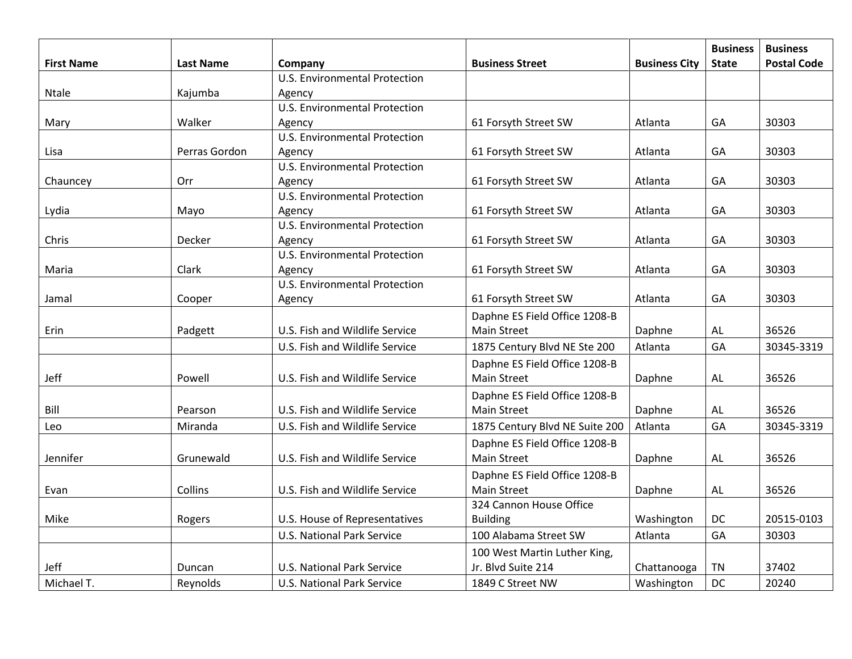|                   |               |                                      |                                                     |                      | <b>Business</b> | <b>Business</b>    |
|-------------------|---------------|--------------------------------------|-----------------------------------------------------|----------------------|-----------------|--------------------|
| <b>First Name</b> | Last Name     | Company                              | <b>Business Street</b>                              | <b>Business City</b> | <b>State</b>    | <b>Postal Code</b> |
|                   |               | <b>U.S. Environmental Protection</b> |                                                     |                      |                 |                    |
| Ntale             | Kajumba       | Agency                               |                                                     |                      |                 |                    |
|                   |               | <b>U.S. Environmental Protection</b> |                                                     |                      |                 |                    |
| Mary              | Walker        | Agency                               | 61 Forsyth Street SW                                | Atlanta              | GA              | 30303              |
|                   |               | <b>U.S. Environmental Protection</b> |                                                     |                      |                 |                    |
| Lisa              | Perras Gordon | Agency                               | 61 Forsyth Street SW                                | Atlanta              | GA              | 30303              |
|                   |               | U.S. Environmental Protection        |                                                     |                      |                 |                    |
| Chauncey          | Orr           | Agency                               | 61 Forsyth Street SW                                | Atlanta              | GA              | 30303              |
|                   |               | U.S. Environmental Protection        |                                                     |                      |                 |                    |
| Lydia             | Mayo          | Agency                               | 61 Forsyth Street SW                                | Atlanta              | GA              | 30303              |
|                   |               | <b>U.S. Environmental Protection</b> |                                                     |                      |                 |                    |
| Chris             | Decker        | Agency                               | 61 Forsyth Street SW                                | Atlanta              | GA              | 30303              |
|                   |               | <b>U.S. Environmental Protection</b> |                                                     |                      |                 |                    |
| Maria             | Clark         | Agency                               | 61 Forsyth Street SW                                | Atlanta              | GA              | 30303              |
|                   |               | <b>U.S. Environmental Protection</b> |                                                     |                      |                 |                    |
| Jamal             | Cooper        | Agency                               | 61 Forsyth Street SW                                | Atlanta              | GA              | 30303              |
|                   |               |                                      | Daphne ES Field Office 1208-B                       |                      |                 |                    |
| Erin              | Padgett       | U.S. Fish and Wildlife Service       | <b>Main Street</b>                                  | Daphne               | <b>AL</b>       | 36526              |
|                   |               | U.S. Fish and Wildlife Service       | 1875 Century Blvd NE Ste 200                        | Atlanta              | GA              | 30345-3319         |
|                   |               |                                      | Daphne ES Field Office 1208-B                       |                      |                 |                    |
| Jeff              | Powell        | U.S. Fish and Wildlife Service       | <b>Main Street</b>                                  | Daphne               | AL              | 36526              |
|                   |               |                                      | Daphne ES Field Office 1208-B                       |                      |                 |                    |
| Bill              | Pearson       | U.S. Fish and Wildlife Service       | <b>Main Street</b>                                  | Daphne               | <b>AL</b>       | 36526              |
| Leo               | Miranda       | U.S. Fish and Wildlife Service       | 1875 Century Blvd NE Suite 200                      | Atlanta              | GA              | 30345-3319         |
|                   |               |                                      | Daphne ES Field Office 1208-B                       |                      |                 |                    |
| Jennifer          | Grunewald     | U.S. Fish and Wildlife Service       | Main Street                                         | Daphne               | <b>AL</b>       | 36526              |
|                   |               |                                      |                                                     |                      |                 |                    |
|                   | Collins       | U.S. Fish and Wildlife Service       | Daphne ES Field Office 1208-B<br><b>Main Street</b> |                      |                 | 36526              |
| Evan              |               |                                      |                                                     | Daphne               | <b>AL</b>       |                    |
| Mike              |               |                                      | 324 Cannon House Office                             | Washington           |                 | 20515-0103         |
|                   | Rogers        | U.S. House of Representatives        | <b>Building</b>                                     |                      | DC              |                    |
|                   |               | <b>U.S. National Park Service</b>    | 100 Alabama Street SW                               | Atlanta              | GA              | 30303              |
|                   |               |                                      | 100 West Martin Luther King,                        |                      |                 |                    |
| Jeff              | Duncan        | <b>U.S. National Park Service</b>    | Jr. Blvd Suite 214                                  | Chattanooga          | <b>TN</b>       | 37402              |
| Michael T.        | Reynolds      | <b>U.S. National Park Service</b>    | 1849 C Street NW                                    | Washington           | DC              | 20240              |